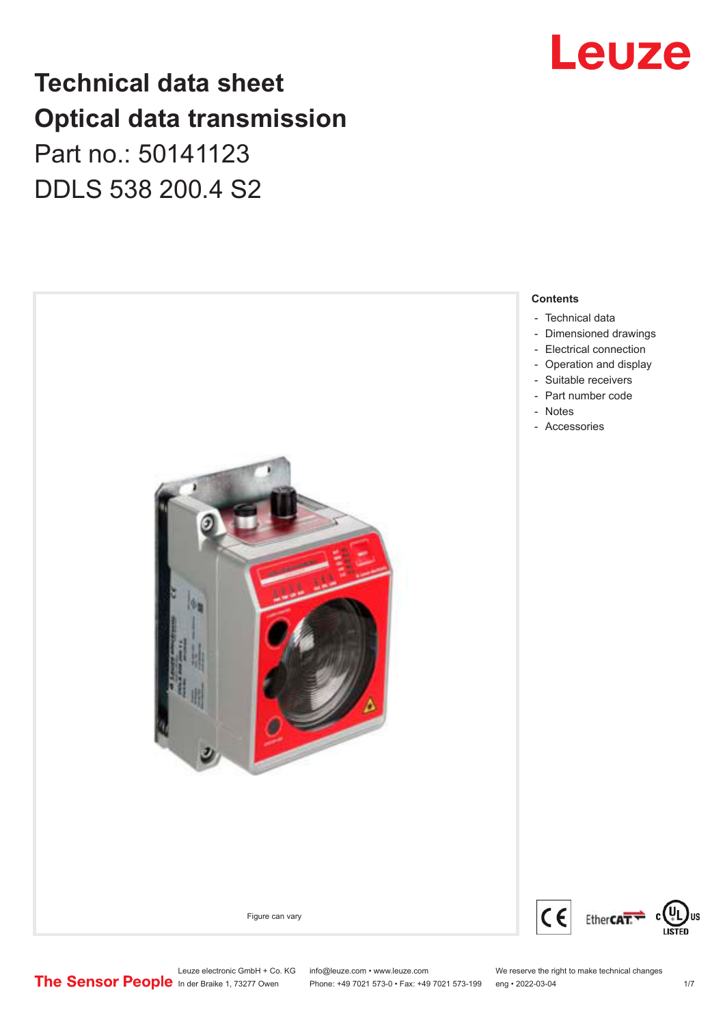## Leuze

## **Technical data sheet Optical data transmission**

Part no.: 50141123 DDLS 538 200.4 S2



Leuze electronic GmbH + Co. KG info@leuze.com • www.leuze.com We reserve the right to make technical changes<br>
The Sensor People in der Braike 1, 73277 Owen Phone: +49 7021 573-0 • Fax: +49 7021 573-199 eng • 2022-03-04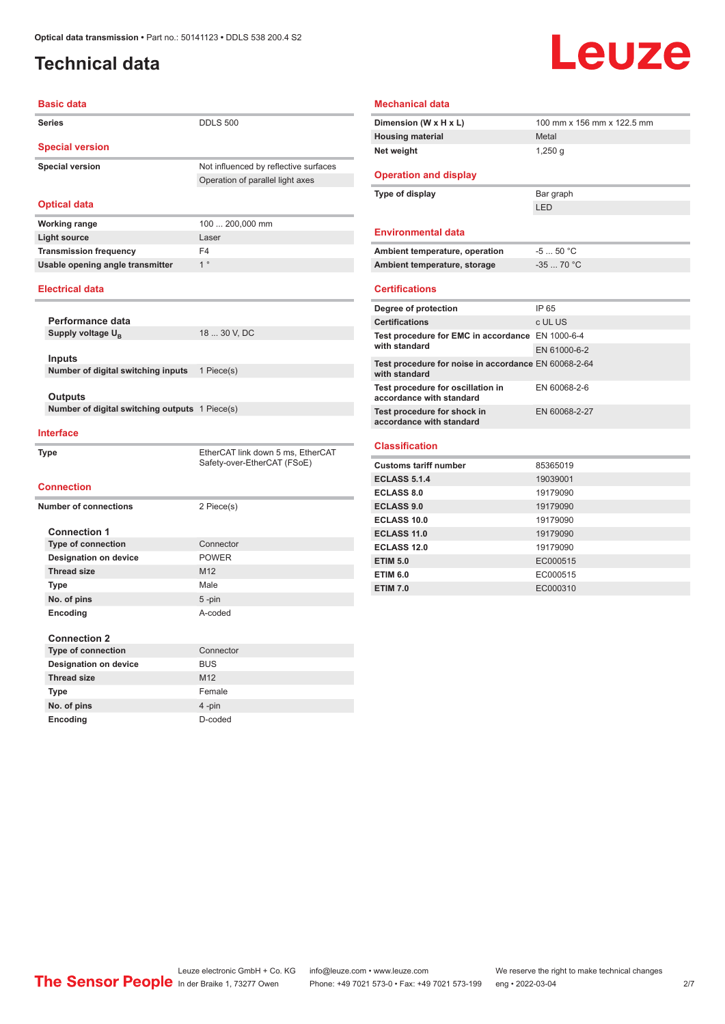### <span id="page-1-0"></span>**Technical data**

## **Leuze**

| <b>Basic data</b>                              |                                                                           |
|------------------------------------------------|---------------------------------------------------------------------------|
| <b>Series</b>                                  | <b>DDLS 500</b>                                                           |
| <b>Special version</b>                         |                                                                           |
| <b>Special version</b>                         | Not influenced by reflective surfaces<br>Operation of parallel light axes |
| <b>Optical data</b>                            |                                                                           |
| <b>Working range</b>                           | 100  200,000 mm                                                           |
| <b>Light source</b>                            | Laser                                                                     |
| <b>Transmission frequency</b>                  | F <sub>4</sub>                                                            |
| Usable opening angle transmitter               | 1 <sup>°</sup>                                                            |
| <b>Electrical data</b>                         |                                                                           |
| Performance data                               |                                                                           |
| Supply voltage U <sub>R</sub>                  | 18  30 V, DC                                                              |
|                                                |                                                                           |
| Inputs                                         |                                                                           |
| Number of digital switching inputs             | 1 Piece(s)                                                                |
|                                                |                                                                           |
| Outputs                                        |                                                                           |
| Number of digital switching outputs 1 Piece(s) |                                                                           |
| <b>Interface</b>                               |                                                                           |
| <b>Type</b>                                    | EtherCAT link down 5 ms, EtherCAT<br>Safety-over-EtherCAT (FSoE)          |
| <b>Connection</b>                              |                                                                           |
| <b>Number of connections</b>                   | 2 Piece(s)                                                                |
|                                                |                                                                           |
| <b>Connection 1</b>                            |                                                                           |
| <b>Type of connection</b>                      | Connector                                                                 |
| <b>Designation on device</b>                   | <b>POWER</b>                                                              |
| <b>Thread size</b>                             | M <sub>12</sub>                                                           |
| Type                                           | Male                                                                      |
| No. of pins                                    | $5 - pin$                                                                 |
| Encoding                                       | A-coded                                                                   |
|                                                |                                                                           |
| <b>Connection 2</b>                            |                                                                           |
| <b>Type of connection</b>                      | Connector                                                                 |
| <b>Designation on device</b>                   | <b>BUS</b>                                                                |
| <b>Thread size</b>                             | M <sub>12</sub>                                                           |

**No. of pins** 4 -pin **Encoding** D-coded

| Dimension (W x H x L)                                                 | 100 mm x 156 mm x 122.5 mm |
|-----------------------------------------------------------------------|----------------------------|
| <b>Housing material</b>                                               | Metal                      |
| Net weight                                                            | $1,250$ q                  |
| <b>Operation and display</b>                                          |                            |
| Type of display                                                       | Bar graph                  |
|                                                                       | LED                        |
| <b>Environmental data</b>                                             |                            |
| Ambient temperature, operation                                        | $-550 °C$                  |
| Ambient temperature, storage                                          | $-3570 °C$                 |
| <b>Certifications</b>                                                 |                            |
| Degree of protection                                                  | IP 65                      |
| <b>Certifications</b>                                                 | c UL US                    |
| Test procedure for EMC in accordance EN 1000-6-4                      |                            |
| with standard                                                         | EN 61000-6-2               |
| Test procedure for noise in accordance EN 60068-2-64<br>with standard |                            |
| Test procedure for oscillation in<br>accordance with standard         | EN 60068-2-6               |
| Test procedure for shock in<br>accordance with standard               | EN 60068-2-27              |
| <b>Classification</b>                                                 |                            |
| Customs tariff number                                                 | 85365019                   |
| <b>ECLASS 5.1.4</b>                                                   | 19039001                   |
| <b>ECLASS 8.0</b>                                                     | 19179090                   |
| <b>ECLASS 9.0</b>                                                     | 19179090                   |
| <b>ECLASS 10.0</b>                                                    | 19179090                   |
| ECLASS 11.0                                                           | 19179090                   |
| ECLASS 12.0                                                           | 19179090                   |
| <b>ETIM 5.0</b>                                                       | EC000515                   |
| <b>ETIM 6.0</b>                                                       | EC000515                   |
| <b>ETIM 7.0</b>                                                       | EC000310                   |

Leuze electronic GmbH + Co. KG info@leuze.com • www.leuze.com We reserve the right to make technical changes ln der Braike 1, 73277 Owen Phone: +49 7021 573-0 • Fax: +49 7021 573-199 eng • 2022-03-04 2/7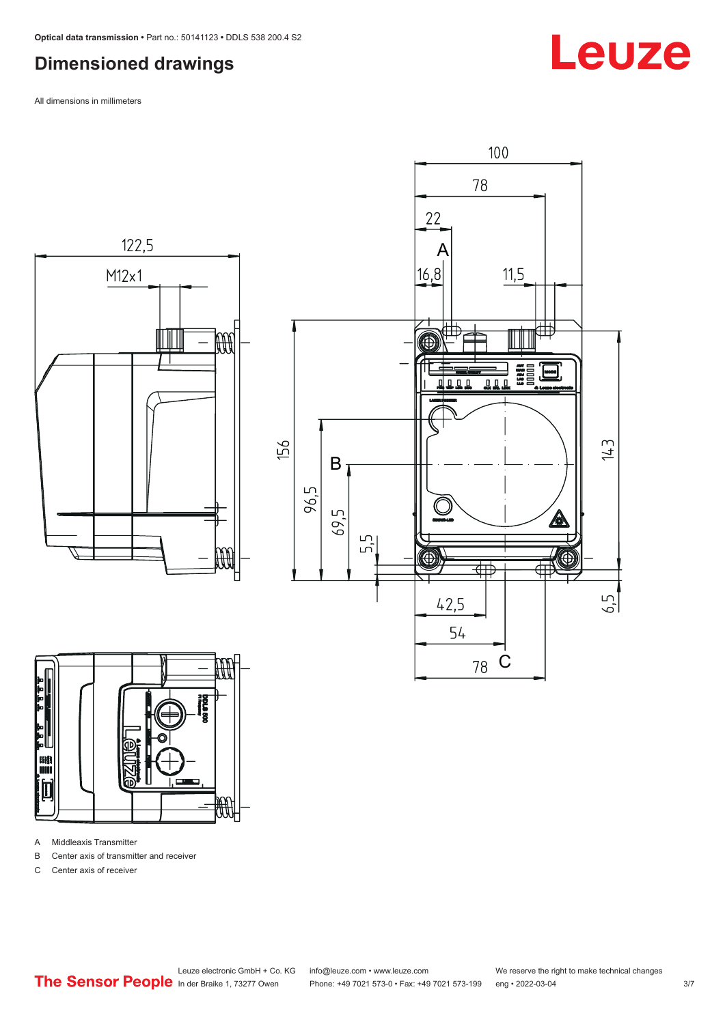### <span id="page-2-0"></span>**Dimensioned drawings**

All dimensions in millimeters







A Middleaxis Transmitter

B Center axis of transmitter and receiver

C Center axis of receiver

**Leuze**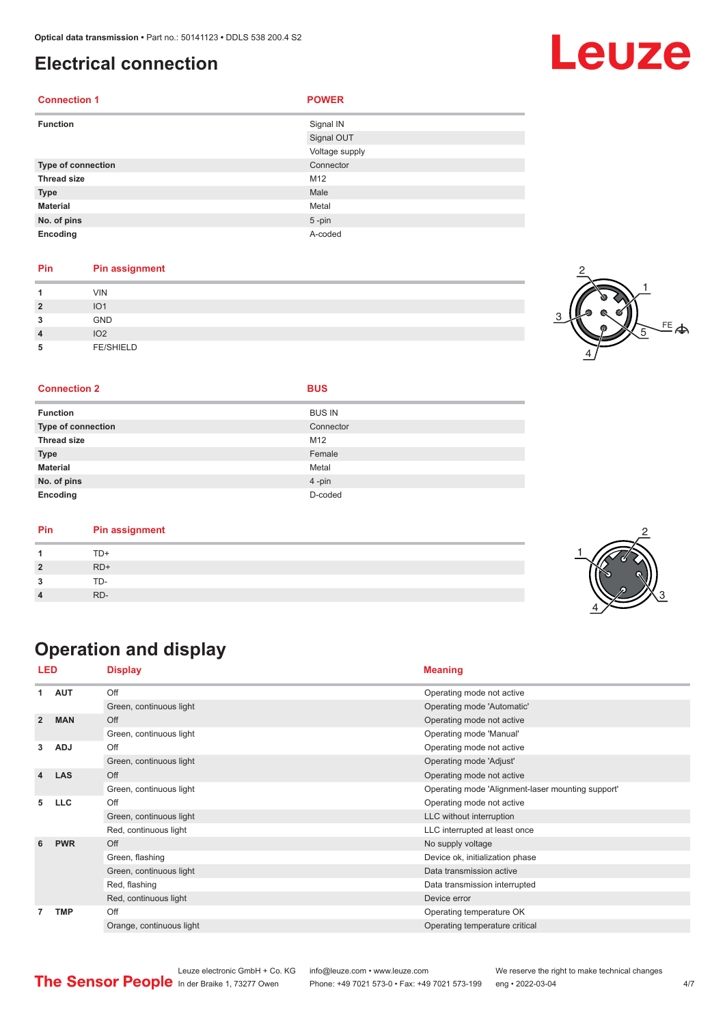#### <span id="page-3-0"></span>**Electrical connection**

| <b>Connection 1</b> | <b>POWER</b>   |
|---------------------|----------------|
| <b>Function</b>     | Signal IN      |
|                     | Signal OUT     |
|                     | Voltage supply |
| Type of connection  | Connector      |
| <b>Thread size</b>  | M12            |
| <b>Type</b>         | Male           |
| <b>Material</b>     | Metal          |
| No. of pins         | $5 - pin$      |
| Encoding            | A-coded        |

#### **Pin Pin assignment**

|                | <b>VIN</b>       |  |
|----------------|------------------|--|
| $\overline{2}$ | IO <sub>1</sub>  |  |
| 3              | GND              |  |
| $\overline{4}$ | IO <sub>2</sub>  |  |
| 5              | <b>FE/SHIELD</b> |  |

#### $FE$  $\spadesuit$ 1 2 4 5

#### **Connection 2 BUS**

| <b>Function</b>    | <b>BUS IN</b> |
|--------------------|---------------|
| Type of connection | Connector     |
| Thread size        | M12           |
| Type               | Female        |
| <b>Material</b>    | Metal         |
| No. of pins        | 4-pin         |
| Encoding           | D-coded       |

| Pin | <b>Pin assignment</b> |  |
|-----|-----------------------|--|
|     | TD+                   |  |
|     | $RD+$                 |  |
|     | TD-                   |  |
|     | RD-                   |  |

### **Operation and display**

| LED            |            | <b>Display</b>           | <b>Meaning</b>                                    |
|----------------|------------|--------------------------|---------------------------------------------------|
| 1              | <b>AUT</b> | Off                      | Operating mode not active                         |
|                |            | Green, continuous light  | Operating mode 'Automatic'                        |
| $\overline{2}$ | <b>MAN</b> | Off                      | Operating mode not active                         |
|                |            | Green, continuous light  | Operating mode 'Manual'                           |
| 3              | <b>ADJ</b> | Off                      | Operating mode not active                         |
|                |            | Green, continuous light  | Operating mode 'Adjust'                           |
| 4              | <b>LAS</b> | Off                      | Operating mode not active                         |
|                |            | Green, continuous light  | Operating mode 'Alignment-laser mounting support' |
| 5              | <b>LLC</b> | Off                      | Operating mode not active                         |
|                |            | Green, continuous light  | LLC without interruption                          |
|                |            | Red, continuous light    | LLC interrupted at least once                     |
| 6              | <b>PWR</b> | Off                      | No supply voltage                                 |
|                |            | Green, flashing          | Device ok, initialization phase                   |
|                |            | Green, continuous light  | Data transmission active                          |
|                |            | Red, flashing            | Data transmission interrupted                     |
|                |            | Red, continuous light    | Device error                                      |
| 7              | <b>TMP</b> | Off                      | Operating temperature OK                          |
|                |            | Orange, continuous light | Operating temperature critical                    |

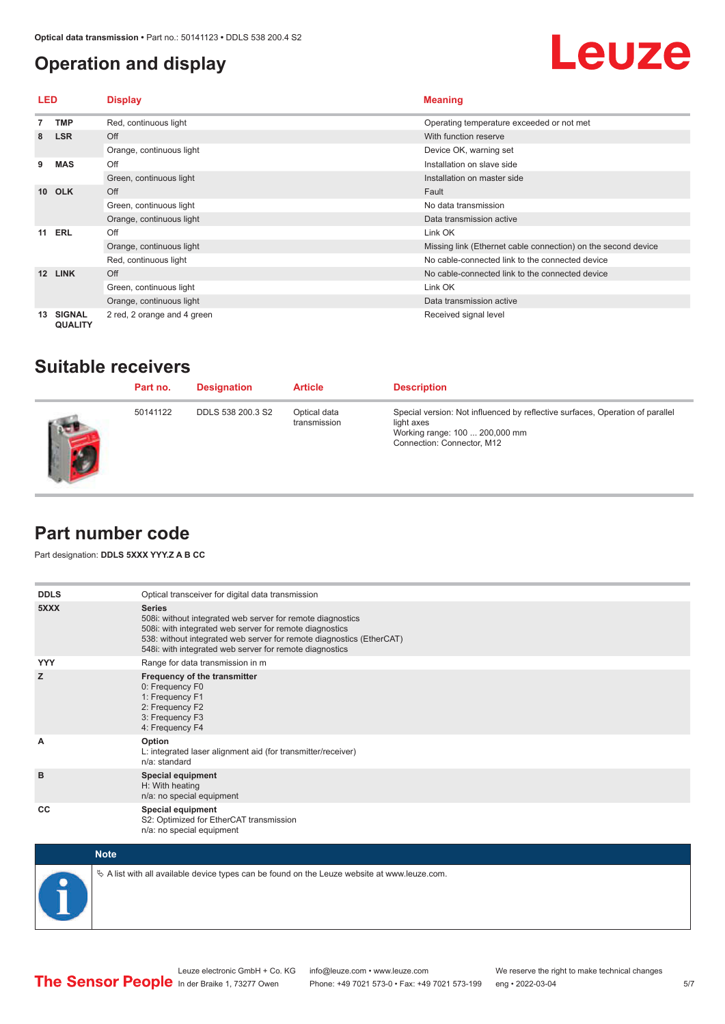### <span id="page-4-0"></span>**Operation and display**

## Leuze

| <b>LED</b>      |                                 | <b>Display</b>              | <b>Meaning</b>                                                |
|-----------------|---------------------------------|-----------------------------|---------------------------------------------------------------|
|                 | <b>TMP</b>                      | Red, continuous light       | Operating temperature exceeded or not met                     |
| 8               | <b>LSR</b>                      | Off                         | With function reserve                                         |
|                 |                                 | Orange, continuous light    | Device OK, warning set                                        |
| 9               | <b>MAS</b>                      | Off                         | Installation on slave side                                    |
|                 |                                 | Green, continuous light     | Installation on master side                                   |
| 10 <sup>1</sup> | <b>OLK</b>                      | Off                         | Fault                                                         |
|                 |                                 | Green, continuous light     | No data transmission                                          |
|                 |                                 | Orange, continuous light    | Data transmission active                                      |
| 11              | <b>ERL</b>                      | Off                         | Link OK                                                       |
|                 |                                 | Orange, continuous light    | Missing link (Ethernet cable connection) on the second device |
|                 |                                 | Red, continuous light       | No cable-connected link to the connected device               |
| 12              | <b>LINK</b>                     | Off                         | No cable-connected link to the connected device               |
|                 |                                 | Green, continuous light     | Link OK                                                       |
|                 |                                 | Orange, continuous light    | Data transmission active                                      |
| 13              | <b>SIGNAL</b><br><b>QUALITY</b> | 2 red, 2 orange and 4 green | Received signal level                                         |

#### **Suitable receivers**

| Part no. | <b>Designation</b> | <b>Article</b>               | <b>Description</b>                                                                                                                                          |
|----------|--------------------|------------------------------|-------------------------------------------------------------------------------------------------------------------------------------------------------------|
| 50141122 | DDLS 538 200.3 S2  | Optical data<br>transmission | Special version: Not influenced by reflective surfaces, Operation of parallel<br>light axes<br>Working range: 100  200,000 mm<br>Connection: Connector, M12 |

### **Part number code**

Part designation: **DDLS 5XXX YYY.Z A B CC**

| <b>DDLS</b> | Optical transceiver for digital data transmission                                                                                                                                                                                                                         |
|-------------|---------------------------------------------------------------------------------------------------------------------------------------------------------------------------------------------------------------------------------------------------------------------------|
| 5XXX        | <b>Series</b><br>508i: without integrated web server for remote diagnostics<br>508i: with integrated web server for remote diagnostics<br>538: without integrated web server for remote diagnostics (EtherCAT)<br>548i: with integrated web server for remote diagnostics |
| <b>YYY</b>  | Range for data transmission in m                                                                                                                                                                                                                                          |
| z           | Frequency of the transmitter<br>0: Frequency F0<br>1: Frequency F1<br>2: Frequency F2<br>3: Frequency F3<br>4: Frequency F4                                                                                                                                               |
| A           | Option<br>L: integrated laser alignment aid (for transmitter/receiver)<br>n/a: standard                                                                                                                                                                                   |
| B           | <b>Special equipment</b><br>H: With heating<br>n/a: no special equipment                                                                                                                                                                                                  |
| CC          | <b>Special equipment</b><br>S2: Optimized for EtherCAT transmission<br>n/a: no special equipment                                                                                                                                                                          |



 $\&$  A list with all available device types can be found on the Leuze website at www.leuze.com.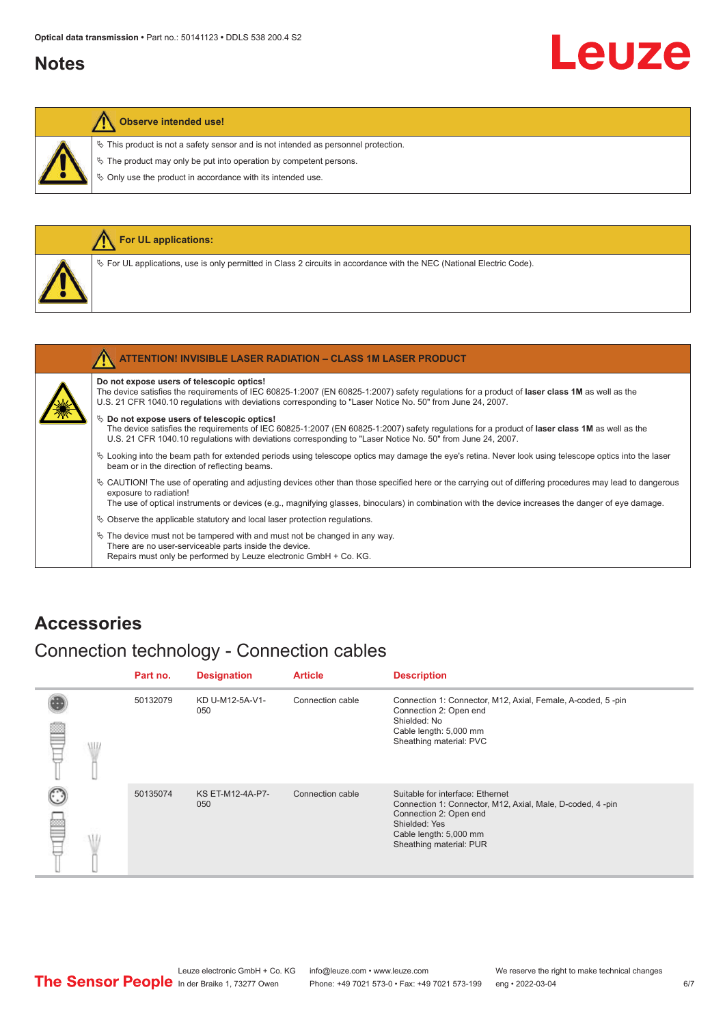#### <span id="page-5-0"></span>**Notes**

# Leuze

#### **Observe intended use!**

 $\%$  This product is not a safety sensor and is not intended as personnel protection.

 $\&$  The product may only be put into operation by competent persons.

 $\%$  Only use the product in accordance with its intended use.

|  | <b>For UL applications:</b>                                                                                                       |
|--|-----------------------------------------------------------------------------------------------------------------------------------|
|  | Vertal Code). For UL applications, use is only permitted in Class 2 circuits in accordance with the NEC (National Electric Code). |
|  |                                                                                                                                   |
|  | <b>ATTENTION! INVISIBLE LASER RADIATION - CLASS 1M LASER PRODUCT</b>                                                              |

#### **Do not expose users of telescopic optics!**

The device satisfies the requirements of IEC 60825-1:2007 (EN 60825-1:2007) safety regulations for a product of **laser class 1M** as well as the U.S. 21 CFR 1040.10 regulations with deviations corresponding to "Laser Notice No. 50" from June 24, 2007.

#### $\%$  Do not expose users of telescopic optics!

The device satisfies the requirements of IEC 60825-1:2007 (EN 60825-1:2007) safety regulations for a product of **laser class 1M** as well as the U.S. 21 CFR 1040.10 regulations with deviations corresponding to "Laser Notice No. 50" from June 24, 2007.

- ª Looking into the beam path for extended periods using telescope optics may damage the eye's retina. Never look using telescope optics into the laser beam or in the direction of reflecting beams.
- ª CAUTION! The use of operating and adjusting devices other than those specified here or the carrying out of differing procedures may lead to dangerous exposure to radiation!

The use of optical instruments or devices (e.g., magnifying glasses, binoculars) in combination with the device increases the danger of eye damage.

 $\&$  Observe the applicable statutory and local laser protection regulations.

 $\%$  The device must not be tampered with and must not be changed in any way. There are no user-serviceable parts inside the device. Repairs must only be performed by Leuze electronic GmbH + Co. KG.

#### **Accessories**

### Connection technology - Connection cables

|   |   | Part no. | <b>Designation</b>      | <b>Article</b>   | <b>Description</b>                                                                                                                                                                            |
|---|---|----------|-------------------------|------------------|-----------------------------------------------------------------------------------------------------------------------------------------------------------------------------------------------|
| ₽ | W | 50132079 | KD U-M12-5A-V1-<br>050  | Connection cable | Connection 1: Connector, M12, Axial, Female, A-coded, 5-pin<br>Connection 2: Open end<br>Shielded: No<br>Cable length: 5,000 mm<br>Sheathing material: PVC                                    |
| œ |   | 50135074 | KS ET-M12-4A-P7-<br>050 | Connection cable | Suitable for interface: Ethernet<br>Connection 1: Connector, M12, Axial, Male, D-coded, 4-pin<br>Connection 2: Open end<br>Shielded: Yes<br>Cable length: 5,000 mm<br>Sheathing material: PUR |